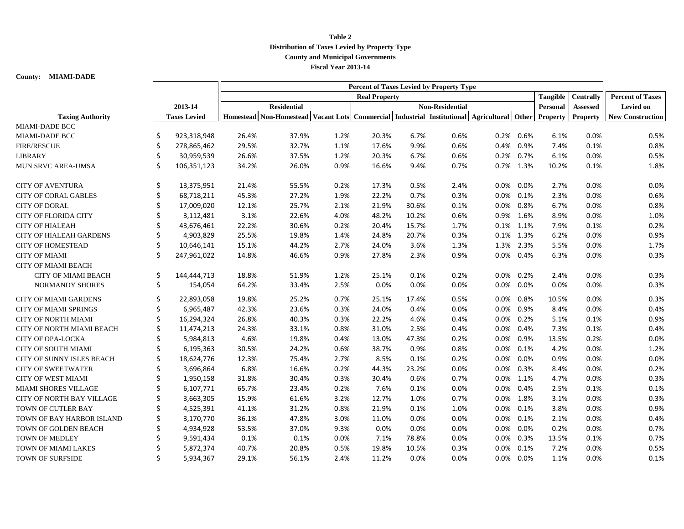## **Table 2 Distribution of Taxes Levied by Property Type County and Municipal Governments Fiscal Year 2013-14**

**County: MIAMI-DADE**

|                                  |    |                     | Percent of Taxes Levied by Property Type |                                                                                            |      |                        |       |      |         |              |                 |                 |                         |
|----------------------------------|----|---------------------|------------------------------------------|--------------------------------------------------------------------------------------------|------|------------------------|-------|------|---------|--------------|-----------------|-----------------|-------------------------|
|                                  |    |                     | <b>Real Property</b>                     |                                                                                            |      |                        |       |      |         |              | Tangible        | Centrally       | <b>Percent of Taxes</b> |
|                                  |    | 2013-14             | <b>Residential</b>                       |                                                                                            |      | <b>Non-Residential</b> |       |      |         |              | Personal        | <b>Assessed</b> | Levied on               |
| <b>Taxing Authority</b>          |    | <b>Taxes Levied</b> |                                          | Homestead Non-Homestead Vacant Lots Commercial Industrial Institutional Agricultural Other |      |                        |       |      |         |              | <b>Property</b> | <b>Property</b> | <b>New Construction</b> |
| <b>MIAMI-DADE BCC</b>            |    |                     |                                          |                                                                                            |      |                        |       |      |         |              |                 |                 |                         |
| <b>MIAMI-DADE BCC</b>            | \$ | 923,318,948         | 26.4%                                    | 37.9%                                                                                      | 1.2% | 20.3%                  | 6.7%  | 0.6% |         | 0.2% 0.6%    | 6.1%            | 0.0%            | 0.5%                    |
| <b>FIRE/RESCUE</b>               | \$ | 278,865,462         | 29.5%                                    | 32.7%                                                                                      | 1.1% | 17.6%                  | 9.9%  | 0.6% |         | 0.4% 0.9%    | 7.4%            | 0.1%            | 0.8%                    |
| <b>LIBRARY</b>                   | \$ | 30,959,539          | 26.6%                                    | 37.5%                                                                                      | 1.2% | 20.3%                  | 6.7%  | 0.6% |         | 0.2% 0.7%    | 6.1%            | 0.0%            | 0.5%                    |
| MUN SRVC AREA-UMSA               | \$ | 106,351,123         | 34.2%                                    | 26.0%                                                                                      | 0.9% | 16.6%                  | 9.4%  | 0.7% |         | 0.7% 1.3%    | 10.2%           | 0.1%            | 1.8%                    |
| <b>CITY OF AVENTURA</b>          | \$ | 13,375,951          | 21.4%                                    | 55.5%                                                                                      | 0.2% | 17.3%                  | 0.5%  | 2.4% |         | 0.0% 0.0%    | 2.7%            | 0.0%            | 0.0%                    |
| <b>CITY OF CORAL GABLES</b>      | \$ | 68,718,211          | 45.3%                                    | 27.2%                                                                                      | 1.9% | 22.2%                  | 0.7%  | 0.3% |         | 0.0% 0.1%    | 2.3%            | 0.0%            | 0.6%                    |
| <b>CITY OF DORAL</b>             | \$ | 17,009,020          | 12.1%                                    | 25.7%                                                                                      | 2.1% | 21.9%                  | 30.6% | 0.1% |         | $0.0\%$ 0.8% | 6.7%            | 0.0%            | 0.8%                    |
| <b>CITY OF FLORIDA CITY</b>      | \$ | 3,112,481           | 3.1%                                     | 22.6%                                                                                      | 4.0% | 48.2%                  | 10.2% | 0.6% |         | 0.9% 1.6%    | 8.9%            | 0.0%            | 1.0%                    |
| <b>CITY OF HIALEAH</b>           | \$ | 43,676,461          | 22.2%                                    | 30.6%                                                                                      | 0.2% | 20.4%                  | 15.7% | 1.7% |         | 0.1% 1.1%    | 7.9%            | 0.1%            | 0.2%                    |
| <b>CITY OF HIALEAH GARDENS</b>   | \$ | 4,903,829           | 25.5%                                    | 19.8%                                                                                      | 1.4% | 24.8%                  | 20.7% | 0.3% |         | 0.1% 1.3%    | 6.2%            | 0.0%            | 0.9%                    |
| <b>CITY OF HOMESTEAD</b>         | \$ | 10,646,141          | 15.1%                                    | 44.2%                                                                                      | 2.7% | 24.0%                  | 3.6%  | 1.3% |         | 1.3% 2.3%    | 5.5%            | 0.0%            | 1.7%                    |
| <b>CITY OF MIAMI</b>             | \$ | 247,961,022         | 14.8%                                    | 46.6%                                                                                      | 0.9% | 27.8%                  | 2.3%  | 0.9% |         | 0.0% 0.4%    | 6.3%            | 0.0%            | 0.3%                    |
| <b>CITY OF MIAMI BEACH</b>       |    |                     |                                          |                                                                                            |      |                        |       |      |         |              |                 |                 |                         |
| <b>CITY OF MIAMI BEACH</b>       | \$ | 144,444,713         | 18.8%                                    | 51.9%                                                                                      | 1.2% | 25.1%                  | 0.1%  | 0.2% |         | 0.0% 0.2%    | 2.4%            | 0.0%            | 0.3%                    |
| <b>NORMANDY SHORES</b>           | \$ | 154,054             | 64.2%                                    | 33.4%                                                                                      | 2.5% | 0.0%                   | 0.0%  | 0.0% |         | 0.0% 0.0%    | 0.0%            | 0.0%            | 0.3%                    |
| <b>CITY OF MIAMI GARDENS</b>     | \$ | 22,893,058          | 19.8%                                    | 25.2%                                                                                      | 0.7% | 25.1%                  | 17.4% | 0.5% | $0.0\%$ | $0.8\%$      | 10.5%           | 0.0%            | 0.3%                    |
| <b>CITY OF MIAMI SPRINGS</b>     | \$ | 6,965,487           | 42.3%                                    | 23.6%                                                                                      | 0.3% | 24.0%                  | 0.4%  | 0.0% |         | 0.0% 0.9%    | 8.4%            | 0.0%            | 0.4%                    |
| <b>CITY OF NORTH MIAMI</b>       | \$ | 16,294,324          | 26.8%                                    | 40.3%                                                                                      | 0.3% | 22.2%                  | 4.6%  | 0.4% |         | 0.0% 0.2%    | 5.1%            | 0.1%            | 0.9%                    |
| CITY OF NORTH MIAMI BEACH        | \$ | 11,474,213          | 24.3%                                    | 33.1%                                                                                      | 0.8% | 31.0%                  | 2.5%  | 0.4% |         | 0.0% 0.4%    | 7.3%            | 0.1%            | 0.4%                    |
| CITY OF OPA-LOCKA                | \$ | 5,984,813           | 4.6%                                     | 19.8%                                                                                      | 0.4% | 13.0%                  | 47.3% | 0.2% |         | 0.0% 0.9%    | 13.5%           | 0.2%            | 0.0%                    |
| CITY OF SOUTH MIAMI              | \$ | 6,195,363           | 30.5%                                    | 24.2%                                                                                      | 0.6% | 38.7%                  | 0.9%  | 0.8% | $0.0\%$ | 0.1%         | 4.2%            | 0.0%            | 1.2%                    |
| CITY OF SUNNY ISLES BEACH        | \$ | 18,624,776          | 12.3%                                    | 75.4%                                                                                      | 2.7% | 8.5%                   | 0.1%  | 0.2% | 0.0%    | $0.0\%$      | 0.9%            | 0.0%            | 0.0%                    |
| <b>CITY OF SWEETWATER</b>        | \$ | 3,696,864           | 6.8%                                     | 16.6%                                                                                      | 0.2% | 44.3%                  | 23.2% | 0.0% |         | 0.0% 0.3%    | 8.4%            | 0.0%            | 0.2%                    |
| <b>CITY OF WEST MIAMI</b>        | \$ | 1,950,158           | 31.8%                                    | 30.4%                                                                                      | 0.3% | 30.4%                  | 0.6%  | 0.7% |         | 0.0% 1.1%    | 4.7%            | 0.0%            | 0.3%                    |
| MIAMI SHORES VILLAGE             | \$ | 6,107,771           | 65.7%                                    | 23.4%                                                                                      | 0.2% | 7.6%                   | 0.1%  | 0.0% |         | 0.0% 0.4%    | 2.5%            | 0.1%            | 0.1%                    |
| <b>CITY OF NORTH BAY VILLAGE</b> | \$ | 3,663,305           | 15.9%                                    | 61.6%                                                                                      | 3.2% | 12.7%                  | 1.0%  | 0.7% |         | 0.0% 1.8%    | 3.1%            | 0.0%            | 0.3%                    |
| TOWN OF CUTLER BAY               | \$ | 4,525,391           | 41.1%                                    | 31.2%                                                                                      | 0.8% | 21.9%                  | 0.1%  | 1.0% |         | $0.0\%$ 0.1% | 3.8%            | 0.0%            | 0.9%                    |
| TOWN OF BAY HARBOR ISLAND        | \$ | 3,170,770           | 36.1%                                    | 47.8%                                                                                      | 3.0% | 11.0%                  | 0.0%  | 0.0% |         | 0.0% 0.1%    | 2.1%            | 0.0%            | 0.4%                    |
| TOWN OF GOLDEN BEACH             | \$ | 4,934,928           | 53.5%                                    | 37.0%                                                                                      | 9.3% | 0.0%                   | 0.0%  | 0.0% |         | 0.0% 0.0%    | 0.2%            | 0.0%            | 0.7%                    |
| TOWN OF MEDLEY                   | \$ | 9,591,434           | 0.1%                                     | 0.1%                                                                                       | 0.0% | 7.1%                   | 78.8% | 0.0% |         | 0.0% 0.3%    | 13.5%           | 0.1%            | 0.7%                    |
| TOWN OF MIAMI LAKES              | \$ | 5,872,374           | 40.7%                                    | 20.8%                                                                                      | 0.5% | 19.8%                  | 10.5% | 0.3% |         | 0.0% 0.1%    | 7.2%            | 0.0%            | 0.5%                    |
| TOWN OF SURFSIDE                 | Ś  | 5,934,367           | 29.1%                                    | 56.1%                                                                                      | 2.4% | 11.2%                  | 0.0%  | 0.0% |         | 0.0% 0.0%    | 1.1%            | 0.0%            | 0.1%                    |